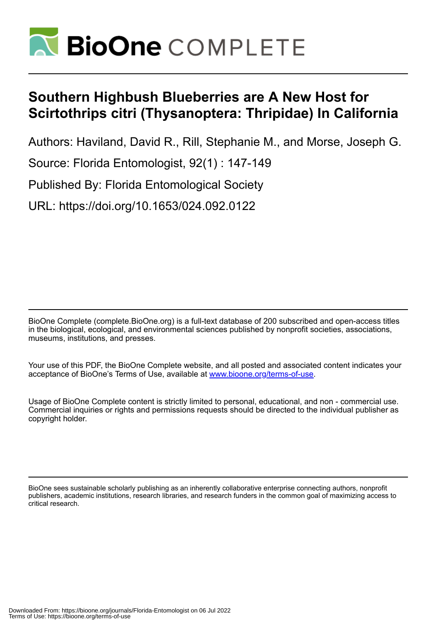

## **Southern Highbush Blueberries are A New Host for Scirtothrips citri (Thysanoptera: Thripidae) In California**

Authors: Haviland, David R., Rill, Stephanie M., and Morse, Joseph G.

Source: Florida Entomologist, 92(1) : 147-149

Published By: Florida Entomological Society

URL: https://doi.org/10.1653/024.092.0122

BioOne Complete (complete.BioOne.org) is a full-text database of 200 subscribed and open-access titles in the biological, ecological, and environmental sciences published by nonprofit societies, associations, museums, institutions, and presses.

Your use of this PDF, the BioOne Complete website, and all posted and associated content indicates your acceptance of BioOne's Terms of Use, available at www.bioone.org/terms-of-use.

Usage of BioOne Complete content is strictly limited to personal, educational, and non - commercial use. Commercial inquiries or rights and permissions requests should be directed to the individual publisher as copyright holder.

BioOne sees sustainable scholarly publishing as an inherently collaborative enterprise connecting authors, nonprofit publishers, academic institutions, research libraries, and research funders in the common goal of maximizing access to critical research.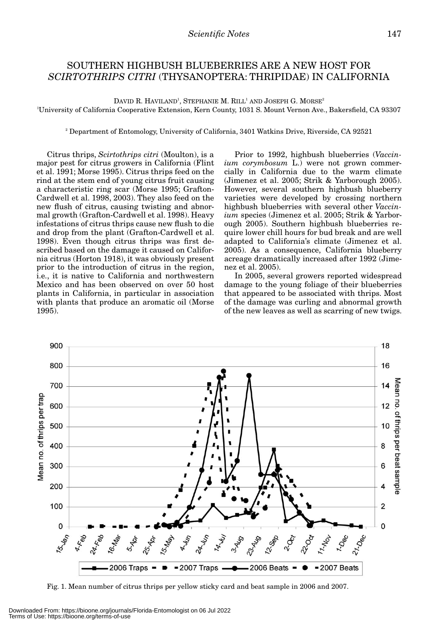## SOUTHERN HIGHBUSH BLUEBERRIES ARE A NEW HOST FOR *SCIRTOTHRIPS CITRI* (THYSANOPTERA: THRIPIDAE) IN CALIFORNIA

DAVID R. HAVILAND<sup>1</sup>, Stephanie M. Rill<sup>1</sup> and Joseph G. Morse<sup>2</sup> 1 University of California Cooperative Extension, Kern County, 1031 S. Mount Vernon Ave., Bakersfield, CA 93307

<sup>2</sup> Department of Entomology, University of California, 3401 Watkins Drive, Riverside, CA 92521

Citrus thrips, *Scirtothrips citri* (Moulton), is a major pest for citrus growers in California (Flint et al. 1991; Morse 1995). Citrus thrips feed on the rind at the stem end of young citrus fruit causing a characteristic ring scar (Morse 1995; Grafton-Cardwell et al. 1998, 2003). They also feed on the new flush of citrus, causing twisting and abnormal growth (Grafton-Cardwell et al. 1998). Heavy infestations of citrus thrips cause new flush to die and drop from the plant (Grafton-Cardwell et al. 1998). Even though citrus thrips was first described based on the damage it caused on California citrus (Horton 1918), it was obviously present prior to the introduction of citrus in the region, i.e., it is native to California and northwestern Mexico and has been observed on over 50 host plants in California, in particular in association with plants that produce an aromatic oil (Morse 1995).

Prior to 1992, highbush blueberries (*Vaccinium corymbosum* L.) were not grown commercially in California due to the warm climate (Jimenez et al. 2005; Strik & Yarborough 2005). However, several southern highbush blueberry varieties were developed by crossing northern highbush blueberries with several other *Vaccinium* species (Jimenez et al. 2005; Strik & Yarborough 2005). Southern highbush blueberries require lower chill hours for bud break and are well adapted to California's climate (Jimenez et al. 2005). As a consequence, California blueberry acreage dramatically increased after 1992 (Jimenez et al. 2005).

In 2005, several growers reported widespread damage to the young foliage of their blueberries that appeared to be associated with thrips. Most of the damage was curling and abnormal growth of the new leaves as well as scarring of new twigs.



Fig. 1. Mean number of citrus thrips per yellow sticky card and beat sample in 2006 and 2007.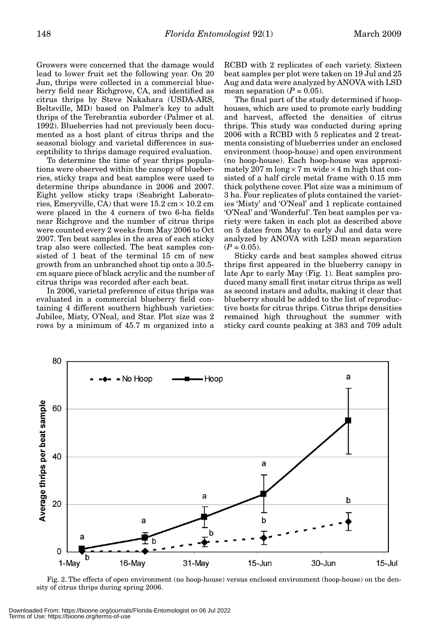Growers were concerned that the damage would lead to lower fruit set the following year. On 20 Jun, thrips were collected in a commercial blueberry field near Richgrove, CA, and identified as citrus thrips by Steve Nakahara (USDA-ARS, Beltsville, MD) based on Palmer's key to adult thrips of the Terebrantia suborder (Palmer et al. 1992). Blueberries had not previously been documented as a host plant of citrus thrips and the seasonal biology and varietal differences in susceptibility to thrips damage required evaluation.

To determine the time of year thrips populations were observed within the canopy of blueberries, sticky traps and beat samples were used to determine thrips abundance in 2006 and 2007. Eight yellow sticky traps (Seabright Laboratories, Emeryville, CA) that were  $15.2 \text{ cm} \times 10.2 \text{ cm}$ were placed in the 4 corners of two 6-ha fields near Richgrove and the number of citrus thrips were counted every 2 weeks from May 2006 to Oct 2007. Ten beat samples in the area of each sticky trap also were collected. The beat samples consisted of 1 beat of the terminal 15 cm of new growth from an unbranched shoot tip onto a 30.5 cm square piece of black acrylic and the number of citrus thrips was recorded after each beat.

In 2006, varietal preference of citus thrips was evaluated in a commercial blueberry field containing 4 different southern highbush varieties: Jubilee, Misty, O'Neal, and Star. Plot size was 2 rows by a minimum of 45.7 m organized into a RCBD with 2 replicates of each variety. Sixteen beat samples per plot were taken on 19 Jul and 25 Aug and data were analyzed by ANOVA with LSD mean separation  $(P = 0.05)$ .

The final part of the study determined if hoophouses, which are used to promote early budding and harvest, affected the densities of citrus thrips. This study was conducted during spring 2006 with a RCBD with 5 replicates and 2 treatments consisting of blueberries under an enclosed environment (hoop-house) and open environment (no hoop-house). Each hoop-house was approximately 207 m long  $\times$  7 m wide  $\times$  4 m high that consisted of a half circle metal frame with 0.15 mm thick polythene cover. Plot size was a minimum of 3 ha. Four replicates of plots contained the varieties 'Misty' and 'O'Neal' and 1 replicate contained 'O'Neal' and 'Wonderful'. Ten beat samples per variety were taken in each plot as described above on 5 dates from May to early Jul and data were analyzed by ANOVA with LSD mean separation  $(P = 0.05)$ .

Sticky cards and beat samples showed citrus thrips first appeared in the blueberry canopy in late Apr to early May (Fig. 1). Beat samples produced many small first instar citrus thrips as well as second instars and adults, making it clear that blueberry should be added to the list of reproductive hosts for citrus thrips. Citrus thrips densities remained high throughout the summer with sticky card counts peaking at 383 and 709 adult



Fig. 2. The effects of open environment (no hoop-house) versus enclosed environment (hoop-house) on the density of citrus thrips during spring 2006.